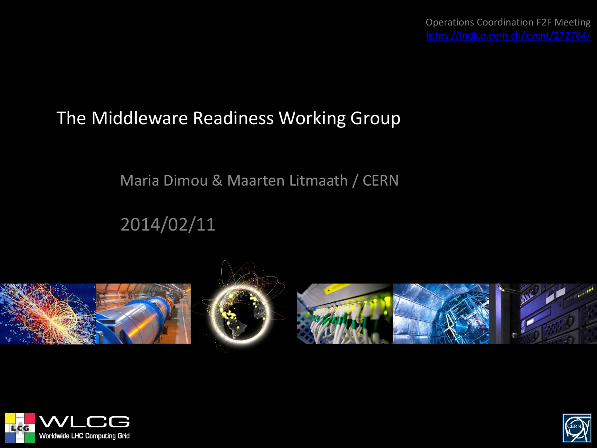#### The Middleware Readiness Working Group

#### Maria Dimou & Maarten Litmaath / CERN

#### 2014/02/11









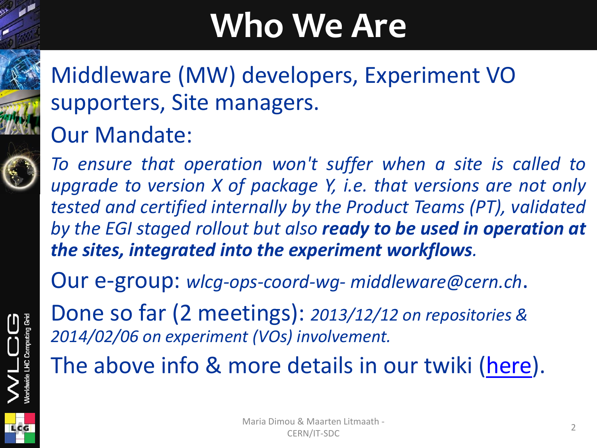### **Who We Are**

#### Middleware (MW) developers, Experiment VO supporters, Site managers. Our Mandate:

*To ensure that operation won't suffer when a site is called to upgrade to version X of package Y, i.e. that versions are not only tested and certified internally by the Product Teams (PT), validated by the EGI staged rollout but also ready to be used in operation at the sites, integrated into the experiment workflows.*

Our e-group: *wlcg-ops-coord-wg- middleware@cern.ch*.

Done so far (2 meetings): *2013/12/12 on repositories & 2014/02/06 on experiment (VOs) involvement.*

The above info & more details in our twiki [\(here\)](https://twiki.cern.ch/twiki/bin/view/LCG/MiddlewareReadiness).

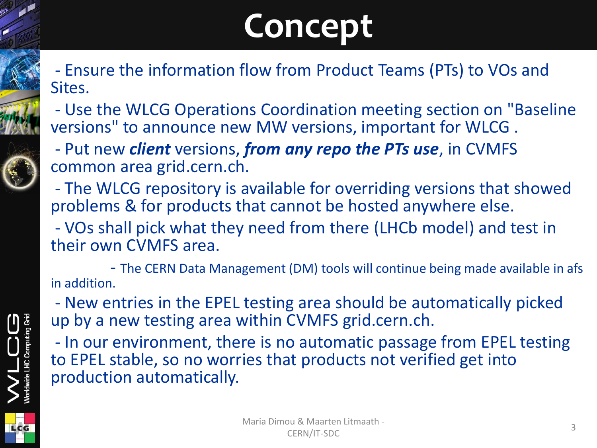# **Concept**

- Ensure the information flow from Product Teams (PTs) to VOs and Sites.
- Use the WLCG Operations Coordination meeting section on "Baseline versions" to announce new MW versions, important for WLCG .
- Put new *client* versions, *from any repo the PTs use*, in CVMFS common area grid.cern.ch.
- The WLCG repository is available for overriding versions that showed problems & for products that cannot be hosted anywhere else.
- VOs shall pick what they need from there (LHCb model) and test in their own CVMFS area.
- The CERN Data Management (DM) tools will continue being made available in afs in addition.
- New entries in the EPEL testing area should be automatically picked up by a new testing area within CVMFS grid.cern.ch.
- In our environment, there is no automatic passage from EPEL testing to EPEL stable, so no worries that products not verified get into production automatically.



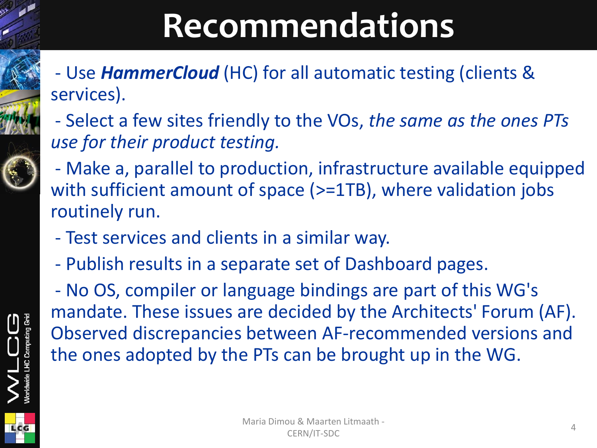# **Recommendations**

- Use *HammerCloud* (HC) for all automatic testing (clients & services).
- Select a few sites friendly to the VOs, *the same as the ones PTs use for their product testing.*
- Make a, parallel to production, infrastructure available equipped with sufficient amount of space (>=1TB), where validation jobs routinely run.
- Test services and clients in a similar way.
- Publish results in a separate set of Dashboard pages.

- No OS, compiler or language bindings are part of this WG's mandate. These issues are decided by the Architects' Forum (AF). Observed discrepancies between AF-recommended versions and the ones adopted by the PTs can be brought up in the WG.

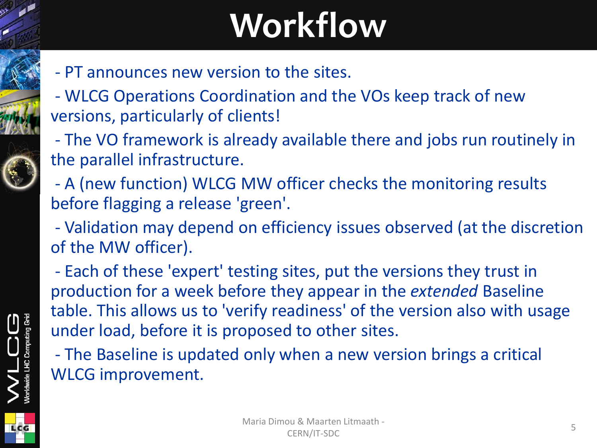# **Workflow**

- PT announces new version to the sites.
- WLCG Operations Coordination and the VOs keep track of new versions, particularly of clients!
- The VO framework is already available there and jobs run routinely in the parallel infrastructure.
- A (new function) WLCG MW officer checks the monitoring results before flagging a release 'green'.
- Validation may depend on efficiency issues observed (at the discretion of the MW officer).
- Each of these 'expert' testing sites, put the versions they trust in production for a week before they appear in the *extended* Baseline table. This allows us to 'verify readiness' of the version also with usage under load, before it is proposed to other sites.
- The Baseline is updated only when a new version brings a critical WLCG improvement.



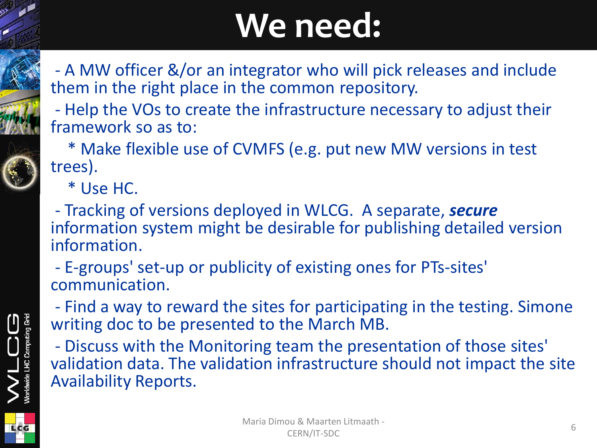### **We need:**

- A MW officer &/or an integrator who will pick releases and include them in the right place in the common repository.
- Help the VOs to create the infrastructure necessary to adjust their framework so as to:

 \* Make flexible use of CVMFS (e.g. put new MW versions in test trees).

\* Use HC.

- Tracking of versions deployed in WLCG. A separate, *secure* information system might be desirable for publishing detailed version information.

- E-groups' set-up or publicity of existing ones for PTs-sites' communication.

- Find a way to reward the sites for participating in the testing. Simone writing doc to be presented to the March MB.

- Discuss with the Monitoring team the presentation of those sites' validation data. The validation infrastructure should not impact the site Availability Reports.